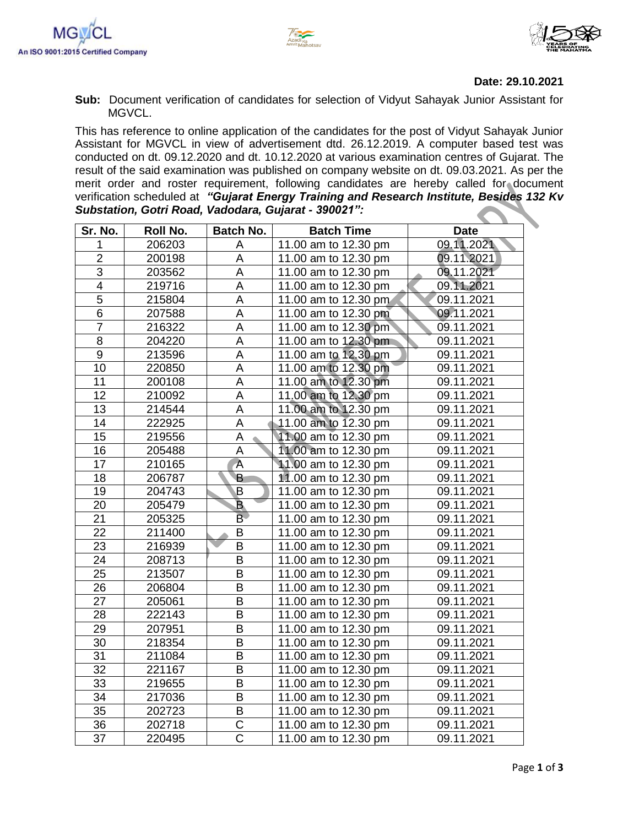



## **Date: 29.10.2021**

**Sub:** Document verification of candidates for selection of Vidyut Sahayak Junior Assistant for MGVCL.

This has reference to online application of the candidates for the post of Vidyut Sahayak Junior Assistant for MGVCL in view of advertisement dtd. 26.12.2019. A computer based test was conducted on dt. 09.12.2020 and dt. 10.12.2020 at various examination centres of Gujarat. The result of the said examination was published on company website on dt. 09.03.2021. As per the merit order and roster requirement, following candidates are hereby called for document verification scheduled at *"Gujarat Energy Training and Research Institute, Besides 132 Kv Substation, Gotri Road, Vadodara, Gujarat - 390021":*

| Sr. No.        | Roll No. | <b>Batch No.</b>        | <b>Batch Time</b>    | <b>Date</b> |
|----------------|----------|-------------------------|----------------------|-------------|
| 1              | 206203   | Α                       | 11.00 am to 12.30 pm | 09.11.2021  |
| $\overline{2}$ | 200198   | A                       | 11.00 am to 12.30 pm | 09.11.2021) |
| $\overline{3}$ | 203562   | A                       | 11.00 am to 12.30 pm | 09.11.2021  |
| $\overline{4}$ | 219716   | A                       | 11.00 am to 12.30 pm | 09.11.2021  |
| $\overline{5}$ | 215804   | A                       | 11.00 am to 12.30 pm | 09.11.2021  |
| $\overline{6}$ | 207588   | A                       | 11.00 am to 12.30 pm | 09.11.2021  |
| $\overline{7}$ | 216322   | A                       | 11.00 am to 12.30 pm | 09.11.2021  |
| $\overline{8}$ | 204220   | $\overline{\mathsf{A}}$ | 11.00 am to 12.30 pm | 09.11.2021  |
| 9              | 213596   | A                       | 11.00 am to 12.30 pm | 09.11.2021  |
| 10             | 220850   | $\overline{\mathsf{A}}$ | 11.00 am to 12.30 pm | 09.11.2021  |
| 11             | 200108   | A                       | 11.00 am to 12.30 pm | 09.11.2021  |
| 12             | 210092   | A                       | 11.00 am to 12.30 pm | 09.11.2021  |
| 13             | 214544   | A                       | 11.00 am to 12.30 pm | 09.11.2021  |
| 14             | 222925   | A                       | 11.00 am to 12.30 pm | 09.11.2021  |
| 15             | 219556   | A                       | 11.00 am to 12.30 pm | 09.11.2021  |
| 16             | 205488   | A                       | 11.00 am to 12.30 pm | 09.11.2021  |
| 17             | 210165   | $\overline{A}$          | 11.00 am to 12.30 pm | 09.11.2021  |
| 18             | 206787   | B.                      | 11.00 am to 12.30 pm | 09.11.2021  |
| 19             | 204743   | B                       | 11.00 am to 12.30 pm | 09.11.2021  |
| 20             | 205479   | $\overline{\mathbf{B}}$ | 11.00 am to 12.30 pm | 09.11.2021  |
| 21             | 205325   | $\overline{B}$          | 11.00 am to 12.30 pm | 09.11.2021  |
| 22             | 211400   | $\overline{B}$          | 11.00 am to 12.30 pm | 09.11.2021  |
| 23             | 216939   | B                       | 11.00 am to 12.30 pm | 09.11.2021  |
| 24             | 208713   | B                       | 11.00 am to 12.30 pm | 09.11.2021  |
| 25             | 213507   | B                       | 11.00 am to 12.30 pm | 09.11.2021  |
| 26             | 206804   | $\overline{B}$          | 11.00 am to 12.30 pm | 09.11.2021  |
| 27             | 205061   | B                       | 11.00 am to 12.30 pm | 09.11.2021  |
| 28             | 222143   | $\overline{B}$          | 11.00 am to 12.30 pm | 09.11.2021  |
| 29             | 207951   | B                       | 11.00 am to 12.30 pm | 09.11.2021  |
| 30             | 218354   | B                       | 11.00 am to 12.30 pm | 09.11.2021  |
| 31             | 211084   | B                       | 11.00 am to 12.30 pm | 09.11.2021  |
| 32             | 221167   | B                       | 11.00 am to 12.30 pm | 09.11.2021  |
| 33             | 219655   | B                       | 11.00 am to 12.30 pm | 09.11.2021  |
| 34             | 217036   | B                       | 11.00 am to 12.30 pm | 09.11.2021  |
| 35             | 202723   | B                       | 11.00 am to 12.30 pm | 09.11.2021  |
| 36             | 202718   | C                       | 11.00 am to 12.30 pm | 09.11.2021  |
| 37             | 220495   | $\overline{\text{C}}$   | 11.00 am to 12.30 pm | 09.11.2021  |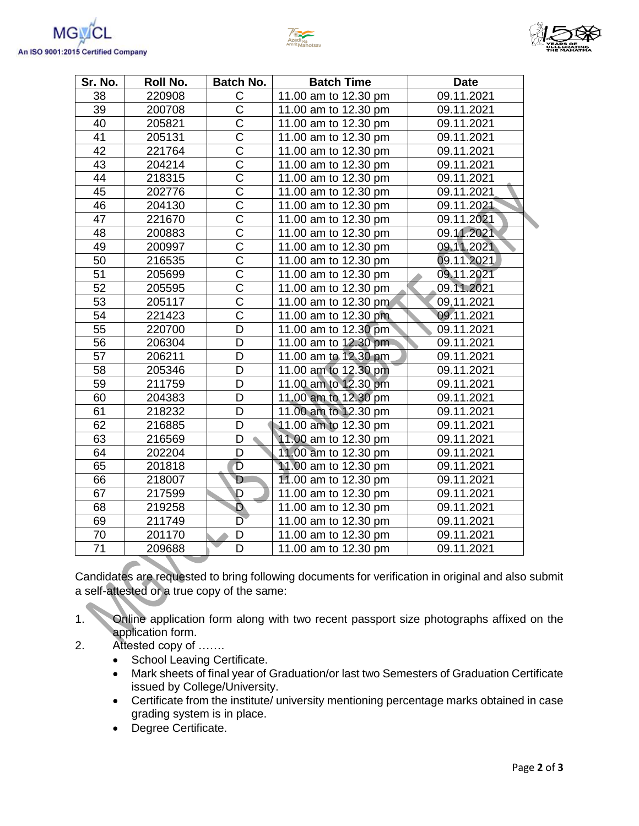



| Sr. No. | Roll No. | <b>Batch No.</b>      | <b>Batch Time</b>    | <b>Date</b> |  |
|---------|----------|-----------------------|----------------------|-------------|--|
| 38      | 220908   | C                     | 11.00 am to 12.30 pm | 09.11.2021  |  |
| 39      | 200708   | C                     | 11.00 am to 12.30 pm | 09.11.2021  |  |
| 40      | 205821   | C                     | 11.00 am to 12.30 pm | 09.11.2021  |  |
| 41      | 205131   | $\overline{\text{C}}$ | 11.00 am to 12.30 pm | 09.11.2021  |  |
| 42      | 221764   | $\overline{\text{C}}$ | 11.00 am to 12.30 pm | 09.11.2021  |  |
| 43      | 204214   | $\overline{\text{c}}$ | 11.00 am to 12.30 pm | 09.11.2021  |  |
| 44      | 218315   | $\overline{\text{C}}$ | 11.00 am to 12.30 pm | 09.11.2021  |  |
| 45      | 202776   | $\overline{\text{C}}$ | 11.00 am to 12.30 pm | 09.11.2021  |  |
| 46      | 204130   | $\overline{\text{C}}$ | 11.00 am to 12.30 pm | 09.11.2021  |  |
| 47      | 221670   | $\overline{\text{C}}$ | 11.00 am to 12.30 pm | 09.11.2021  |  |
| 48      | 200883   | $\overline{\text{C}}$ | 11.00 am to 12.30 pm | 09.11.2021  |  |
| 49      | 200997   | $\overline{\text{C}}$ | 11.00 am to 12.30 pm | 09.11.2021  |  |
| 50      | 216535   | $\overline{C}$        | 11.00 am to 12.30 pm | 09.11.2021  |  |
| 51      | 205699   | $\overline{\text{c}}$ | 11.00 am to 12.30 pm | 09.11.2021  |  |
| 52      | 205595   | $\overline{\text{c}}$ | 11.00 am to 12.30 pm | 09.11.2021  |  |
| 53      | 205117   | $\overline{\text{c}}$ | 11.00 am to 12.30 pm | 09.11.2021  |  |
| 54      | 221423   | $\overline{\text{c}}$ | 11.00 am to 12.30 pm | 09.11.2021  |  |
| 55      | 220700   | D                     | 11.00 am to 12.30 pm | 09.11.2021  |  |
| 56      | 206304   | D                     | 11.00 am to 12.30 pm | 09.11.2021  |  |
| 57      | 206211   | D                     | 11.00 am to 12.30 pm | 09.11.2021  |  |
| 58      | 205346   | D                     | 11.00 am to 12.30 pm | 09.11.2021  |  |
| 59      | 211759   | D                     | 11.00 am to 12.30 pm | 09.11.2021  |  |
| 60      | 204383   | D                     | 11.00 am to 12.30 pm | 09.11.2021  |  |
| 61      | 218232   | D                     | 11.00 am to 12.30 pm | 09.11.2021  |  |
| 62      | 216885   | D                     | 11.00 am to 12.30 pm | 09.11.2021  |  |
| 63      | 216569   | D                     | 11.00 am to 12.30 pm | 09.11.2021  |  |
| 64      | 202204   | D                     | 11.00 am to 12.30 pm | 09.11.2021  |  |
| 65      | 201818   | D                     | 11.00 am to 12.30 pm | 09.11.2021  |  |
| 66      | 218007   | D                     | 11.00 am to 12.30 pm | 09.11.2021  |  |
| 67      | 217599   | D                     | 11.00 am to 12.30 pm | 09.11.2021  |  |
| 68      | 219258   | D                     | 11.00 am to 12.30 pm | 09.11.2021  |  |
| 69      | 211749   | D                     | 11.00 am to 12.30 pm | 09.11.2021  |  |
| $70\,$  | 201170   | D                     | 11.00 am to 12.30 pm | 09.11.2021  |  |
| 71      | 209688   | D                     | 11.00 am to 12.30 pm | 09.11.2021  |  |

Candidates are requested to bring following documents for verification in original and also submit a self-attested or a true copy of the same:

1. Online application form along with two recent passport size photographs affixed on the application form.

- 2. Attested copy of …….
	- School Leaving Certificate.
	- Mark sheets of final year of Graduation/or last two Semesters of Graduation Certificate issued by College/University.
	- Certificate from the institute/ university mentioning percentage marks obtained in case grading system is in place.
	- Degree Certificate.